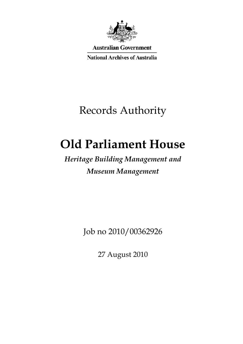

**Australian Government** 

**National Archives of Australia** 

# Records Authority

# **Old Parliament House**

## *Heritage Building Management and Museum Management*

Job no 2010/00362926

27 August 2010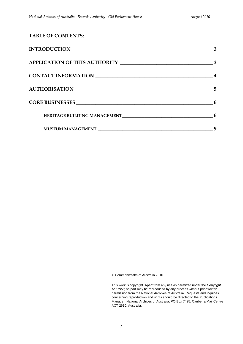| <b>TABLE OF CONTENTS:</b>                                                                                                                                                                                                      |   |
|--------------------------------------------------------------------------------------------------------------------------------------------------------------------------------------------------------------------------------|---|
| INTRODUCTION                                                                                                                                                                                                                   | 3 |
|                                                                                                                                                                                                                                |   |
| CONTACT INFORMATION NAME AND RESERVE TO A SERIES AND RESERVE TO A SERIES OF THE SERIES OF THE SERIES OF THE SERIES OF THE SERIES OF THE SERIES OF THE SERIES OF THE SERIES OF THE SERIES OF THE SERIES OF THE SERIES OF THE SE |   |
| AUTHORISATION                                                                                                                                                                                                                  | 5 |
|                                                                                                                                                                                                                                | 6 |
|                                                                                                                                                                                                                                | 6 |
|                                                                                                                                                                                                                                |   |

© Commonwealth of Australia 2010

This work is copyright. Apart from any use as permitted under the *Copyright Act 1968,* no part may be reproduced by any process without prior written permission from the National Archives of Australia. Requests and inquiries concerning reproduction and rights should be directed to the Publications Manager, National Archives of Australia, PO Box 7425, Canberra Mail Centre ACT 2610, Australia.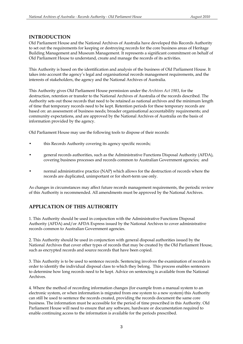### <span id="page-2-0"></span>**INTRODUCTION**

Old Parliament House and the National Archives of Australia have developed this Records Authority to set out the requirements for keeping or destroying records for the core business areas of Heritage Building Management and Museum Management. It represents a significant commitment on behalf of Old Parliament House to understand, create and manage the records of its activities.

This Authority is based on the identification and analysis of the business of Old Parliament House. It takes into account the agency's legal and organisational records management requirements, and the interests of stakeholders, the agency and the National Archives of Australia.

This Authority gives Old Parliament House permission under the *Archives Act 1983*, for the destruction, retention or transfer to the National Archives of Australia of the records described. The Authority sets out those records that need to be retained as national archives and the minimum length of time that temporary records need to be kept. Retention periods for these temporary records are based on: an assessment of business needs; broader organisational accountability requirements; and community expectations, and are approved by the National Archives of Australia on the basis of information provided by the agency.

Old Parliament House may use the following tools to dispose of their records:

- this Records Authority covering its agency specific records;
- covering business processes and records common to Australian Government agencies; and • this Records Authority covering its agency specific records;<br>
• general records authorities, such as the Administrative Functions Disposal Authority (AFDA),<br>
• covering business processes and records common to Australian
- records are duplicated, unimportant or for short-term use only.

As changes in circumstances may affect future records management requirements, the periodic review of this Authority is recommended. All amendments must be approved by the National Archives.

### **APPLICATION OF THIS AUTHORITY**

1. This Authority should be used in conjunction with the Administrative Functions Disposal Authority (AFDA) and/or AFDA Express issued by the National Archives to cover administrative records common to Australian Government agencies.

2. This Authority should be used in conjunction with general disposal authorities issued by the National Archives that cover other types of records that may be created by the Old Parliament House, such as encrypted records and source records that have been copied.

3. This Authority is to be used to sentence records. Sentencing involves the examination of records in order to identify the individual disposal class to which they belong. This process enables sentencers to determine how long records need to be kept. Advice on sentencing is available from the National Archives.

4. Where the method of recording information changes (for example from a manual system to an electronic system, or when information is migrated from one system to a new system) this Authority can still be used to sentence the records created, providing the records document the same core business. The information must be accessible for the period of time prescribed in this Authority. Old Parliament House will need to ensure that any software, hardware or documentation required to enable continuing access to the information is available for the periods prescribed.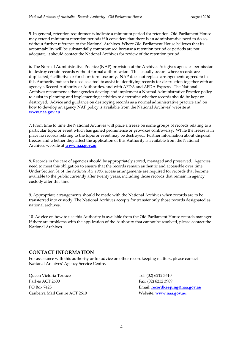5. In general, retention requirements indicate a minimum period for retention. Old Parliament House may extend minimum retention periods if it considers that there is an administrative need to do so, without further reference to the National Archives. Where Old Parliament House believes that its accountability will be substantially compromised because a retention period or periods are not adequate, it should contact the National Archives for review of the retention period.

 destroyed. Advice and guidance on destroying records as a normal administrative practice and on how to develop an agency NAP policy is available from the National Archives' website at 6. The Normal Administrative Practice (NAP) provision of the Archives Act gives agencies permission to destroy certain records without formal authorisation. This usually occurs where records are duplicated, facilitative or for short-term use only. NAP does not replace arrangements agreed to in this Authority but can be used as a tool to assist in identifying records for destruction together with an agency's Record Authority or Authorities, and with AFDA and AFDA Express. The National Archives recommends that agencies develop and implement a Normal Administrative Practice policy to assist in planning and implementing activities to determine whether records should be kept or **www.naa.gov.au** 

 place no records relating to the topic or event may be destroyed. Further information about disposal 7. From time to time the National Archives will place a freeze on some groups of records relating to a particular topic or event which has gained prominence or provokes controversy. While the freeze is in freezes and whether they affect the application of this Authority is available from the National Archives website at **www.naa.gov.au** 

 8. Records in the care of agencies should be appropriately stored, managed and preserved. Agencies need to meet this obligation to ensure that the records remain authentic and accessible over time. Under Section 31 of the *Archives Act 1983*, access arrangements are required for records that become available to the public currently after twenty years, including those records that remain in agency custody after this time.

9. Appropriate arrangements should be made with the National Archives when records are to be transferred into custody. The National Archives accepts for transfer only those records designated as national archives.

10. Advice on how to use this Authority is available from the Old Parliament House records manager. If there are problems with the application of the Authority that cannot be resolved, please contact the National Archives.

### **CONTACT INFORMATION**

For assistance with this authority or for advice on other recordkeeping matters, please contact National Archives' Agency Service Centre.

Queen Victoria Terrace Parkes ACT 2600 PO Box 7425 Canberra Mail Centre ACT 2610

 Fax: (02) 6212 3989 Email: **recordkeeping@naa.gov.au** Tel: (02) 6212 3610 Website: **www.naa.gov.au**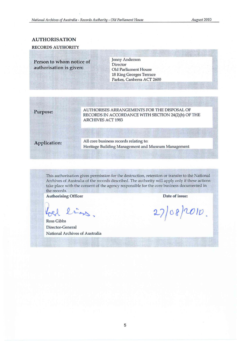### AUTHORISATION

#### RECORDS AUTHORITY

Person to whom notice of authorisation is given:

#### Jenny Anderson **Director** Old Parliament House 18 King Georges Terrace Parkes, Canberra ACT 2600

### Purpose:

AUTHORISES ARRANGEMENTS FOR THE DISPOSAL OF RECORDS IN ACCORDANCE WITH SECTION 24(2)(b) OF THE ARCHIVES ACT 1983

Application:

All core business records relating to: Heritage Building Management and Museum Management

This authorisation gives permission for the destruction, retention or transfer to the National Archives of Australia of the records described. The authority will apply only if these actions take place with the consent of the agency responsible for the core business documented in the records.

Authorising Officer Date of issue:

liss,

Ross Gibbs Director-General National Archives of Australia

 $27/08/2010$ .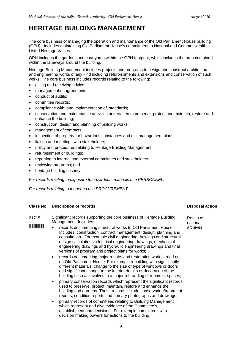## <span id="page-5-0"></span>**HERITAGE BUILDING MANAGEMENT**

The core business of managing the operation and maintenance of the Old Parliament House building (OPH). Includes maintaining Old Parliament House's commitment to National and Commonwealth Listed Heritage Values.

OPH includes the gardens and courtyards within the OPH footprint, which includes the area contained within the laneways around the building.

 works. The core business includes records relating to the following: Heritage Building Management includes projects and programs to design and construct architectural and engineering works of any kind including refurbishments and extensions and conservation of such

- giving and receiving advice;
- management of agreements;
- conduct of audits:
- committee records;
- compliance with, and implementation of, standards:
- conservation and maintenance activities undertaken to preserve, protect and maintain, restore and enhance the building;
- construction, design and planning of building works;
- management of contracts;
- inspection of property for hazardous substances and risk management plans;
- liaison and meetings with stakeholders;
- policy and procedures relating to Heritage Building Management;
- refurbishment of buildings;
- reporting to internal and external committees and stakeholders;
- reviewing programs; and
- heritage building security.

*For records relating to exposure to hazardous materials use PERSONNEL.* 

*For records relating to tendering use PROCUREMENT.* 

#### **Class No Description of records Disposal action Activities Action Activities Action Activities Action Activities**

- 21715 Significant records supporting the core business of Heritage Building Retain as Management. Includes: national matrices
- **EXTENDENT REFERENCE**<br>**EXTENDING REPORTS OF ALL PROPERTY OF ALL PROPERTY OF ARCHIVES** Includes, construction, contract management, design, planning and consultation. For example civil engineering drawings and structural design calculations; electrical engineering drawings, mechanical engineering drawings and hydraulic engineering drawings and final versions of program and project plans for works;
	- records documenting major repairs and restoration work carried out on Old Parliament House. For example rebuilding with significantly different materials; change to the size or type of windows or doors and significant change to the interior design or decoration of the building such as involved in a major rebranding of rooms or spaces;
	- primary conservation records which represent the significant records used to preserve, protect, maintain, restore and enhance the building and gardens. These records include conservation/treatment reports; condition reports and primary photographs and drawings;
	- primary records of committees relating to Building Management which represent and give evidence of the Committee's establishment and decisions. For example committees with decision making powers for actions to the building;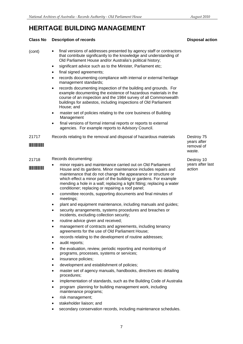## **HERITAGE BUILDING MANAGEMENT**

#### **Class No Description of records Disposal action Activities Action Activities Action Activities Action Activities**

(cont) • final versions of addresses presented by agency staff or contractors that contribute significantly to the knowledge and understanding of Old Parliament House and/or Australia's political history;

- significant advice such as to the Minister, Parliament etc;
- final signed agreements;
- records documenting compliance with internal or external heritage management standards;
- records documenting inspection of the building and grounds. For example documenting the existence of hazardous materials in the course of an inspection and the 1984 survey of all Commonwealth buildings for asbestos, including inspections of Old Parliament House; and
- master set of policies relating to the core business of Building Management
- final versions of formal internal reports or reports to external agencies. For example reports to Advisory Council.
- 21717 Records relating to the removal and disposal of hazardous materials Destroy 75

#### 21718 Records documenting: **Destroy 10**

- minor repairs and maintenance carried out on Old Parliament vears after last \*\*\* House and its gardens. Minor maintenance includes repairs and \*\*\* action maintenance that do not change the appearance or structure or which effect a minor part of the building or gardens. For example mending a hole in a wall; replacing a light fitting; replacing a water conditioner; replacing or repairing a roof panel;
	- committee records, supporting documents and final minutes of meetings;
	- plant and equipment maintenance, including manuals and quides;
	- security arrangements, systems procedures and breaches or incidents, excluding collection security;
	- routine advice given and received;
	- management of contracts and agreements, including tenancy agreements for the use of Old Parliament House;
	- records relating to the development of routine addresses;
	- audit reports;
	- the evaluation, review, periodic reporting and monitoring of programs, processes, systems or services;
	- insurance policies;
	- development and establishment of policies;
	- master set of agency manuals, handbooks, directives etc detailing procedures;
	- implementation of standards, such as the Building Code of Australia
	- program planning for building management work, including maintenance programs;
	- risk management;
	- stakeholder liaison; and
	- secondary conservation records, including maintenance schedules.

years after \*21717\* removal of waste.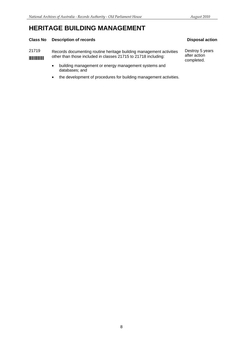## **HERITAGE BUILDING MANAGEMENT**

### **Class No Description of records Class Action Action Action Action Action Action Action Action Action Action Action**

21719 Records documenting routine heritage building management activities Destroy 5 years<br>other than those included in classes 21715 to 21718 including: after action **INTITUREE 19 THE UP TO CONTROVER THE CONTROL OF THE CONTROVER SET ARE SET ASSESS** 21715 to 21718 including: after action completed.

- • building management or energy management systems and databases; and
- the development of procedures for building management activities.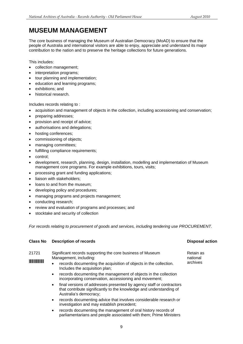## <span id="page-8-0"></span>**MUSEUM MANAGEMENT**

The core business of managing the Museum of Australian Democracy (MoAD) to ensure that the people of Australia and international visitors are able to enjoy, appreciate and understand its major contribution to the nation and to preserve the heritage collections for future generations.

This includes:

- collection management;
- interpretation programs;
- tour planning and implementation;
- education and learning programs;
- exhibitions; and
- historical research.

Includes records relating to :

- acquisition and management of objects in the collection, including accessioning and conservation;
- preparing addresses;
- provision and receipt of advice;
- authorisations and delegations:
- hosting conferences;
- • commissioning of objects;
- managing committees;
- fulfilling compliance requirements;
- control;
- • development, research, planning, design, installation, modelling and implementation of Museum management core programs. For example exhibitions, tours, visits;
- processing grant and funding applications;
- liaison with stakeholders;
- loans to and from the museum;
- developing policy and procedures;
- managing programs and projects management;
- conducting research;
- review and evaluation of programs and processes; and
- stocktake and security of collection

*For records relating to procurement of goods and services, including tendering use PROCUREMENT.* 

| Class No                              | <b>Description of records</b>                                                                                                                                                      | <b>Disposal action</b> |
|---------------------------------------|------------------------------------------------------------------------------------------------------------------------------------------------------------------------------------|------------------------|
| 21721                                 | Significant records supporting the core business of Museum<br>Management, including:                                                                                               | Retain as<br>national  |
| <b>The Committee of the Committee</b> | records documenting the acquisition of objects in the collection.<br>Includes the acquisition plan;                                                                                | archives               |
|                                       | records documenting the management of objects in the collection<br>$\bullet$<br>incorporating conservation, accessioning and movement;                                             |                        |
|                                       | final versions of addresses presented by agency staff or contractors<br>$\bullet$<br>that contribute significantly to the knowledge and understanding of<br>Australia's democracy; |                        |
|                                       | records documenting advice that involves considerable research or<br>$\bullet$<br>investigation and may establish precedent;                                                       |                        |
|                                       | records documenting the management of oral history records of<br>$\bullet$<br>parliamentarians and people associated with them; Prime Ministers                                    |                        |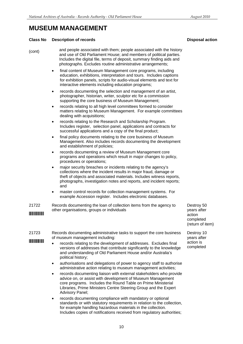### **MUSEUM MANAGEMENT**

#### **Class No Description of records Disposal action Activities Action Activities Action Activities Action Activities**

| (cont) | and people associated with them; people associated with the history   |
|--------|-----------------------------------------------------------------------|
|        | and use of Old Parliament House; and members of political parties.    |
|        | Includes the digital file, terms of deposit, summary finding aids and |
|        | photographs. Excludes routine administrative arrangements;            |

- final content of Museum Management core programs, including education, exhibitions, interpretation and tours. Includes captions for exhibition panels, scripts for audio-visual elements and text for interactive elements including education programs;
- records documenting the selection and management of an artist, photographer, historian, writer, sculptor etc for a commission supporting the core business of Museum Management;
- records relating to all high level committees formed to consider matters relating to Museum Management. For example committees dealing with acquisitions;
- records relating to the Research and Scholarship Program. Includes register, selection panel, applications and contracts for successful applications and a copy of the final product;
- final policy documents relating to the core business of Museum Management. Also includes records documenting the development and establishment of policies;
- records documenting a review of Museum Management core programs and operations which result in major changes to policy, procedures or operations;
- major security breaches or incidents relating to the agency's collections where the incident results in major fraud, damage or theft of objects and associated materials. Includes witness reports, photographs, investigation notes and reports, and incident reports; and
- master control records for collection management systems. For example Accession register. Includes electronic databases.

| 21722                    | Records documenting the loan of collection items from the agency to | Destroy 50  |
|--------------------------|---------------------------------------------------------------------|-------------|
|                          | other organisations, groups or individuals                          | vears after |
| <b>THE REAL PROPERTY</b> |                                                                     | action      |

|                                                                                                                                                                                                                                      |                                                                                                                                                                                                                                                                                                     | (return of it             |
|--------------------------------------------------------------------------------------------------------------------------------------------------------------------------------------------------------------------------------------|-----------------------------------------------------------------------------------------------------------------------------------------------------------------------------------------------------------------------------------------------------------------------------------------------------|---------------------------|
| 21723                                                                                                                                                                                                                                | Records documenting administrative tasks to support the core business<br>of museum management including:                                                                                                                                                                                            | Destroy 10<br>years after |
| <u> Hilling and The Barnet and The Barnet and The Barnet and The Barnet and The Barnet and The Barnet and The Barnet and The Barnet and The Barnet and The Barnet and The Barnet and The Barnet and The Barnet and The Barnet an</u> | records relating to the development of addresses. Excludes final<br>$\bullet$<br>versions of addresses that contribute significantly to the knowledge<br>and understanding of Old Parliament House and/or Australia's<br>political history;                                                         | action is<br>completed    |
|                                                                                                                                                                                                                                      | authorisations and delegations of power to agency staff to authorise<br>$\bullet$<br>administrative action relating to museum management activities;                                                                                                                                                |                           |
|                                                                                                                                                                                                                                      | records documenting liaison with external stakeholders who provide<br>$\bullet$<br>advice on, or assist with development of Museum Management<br>core programs. Includes the Round Table on Prime Ministerial<br>Libraries, Prime Ministers Centre Steering Group and the Expert<br>Advisory Panel; |                           |

records documenting compliance with mandatory or optional standards or with statutory requirements in relation to the collection, for example handling hazardous materials in the collection. Includes copies of notifications received from regulatory authorities;

Destroy 50 completed (return of item)

Destroy 10 completed